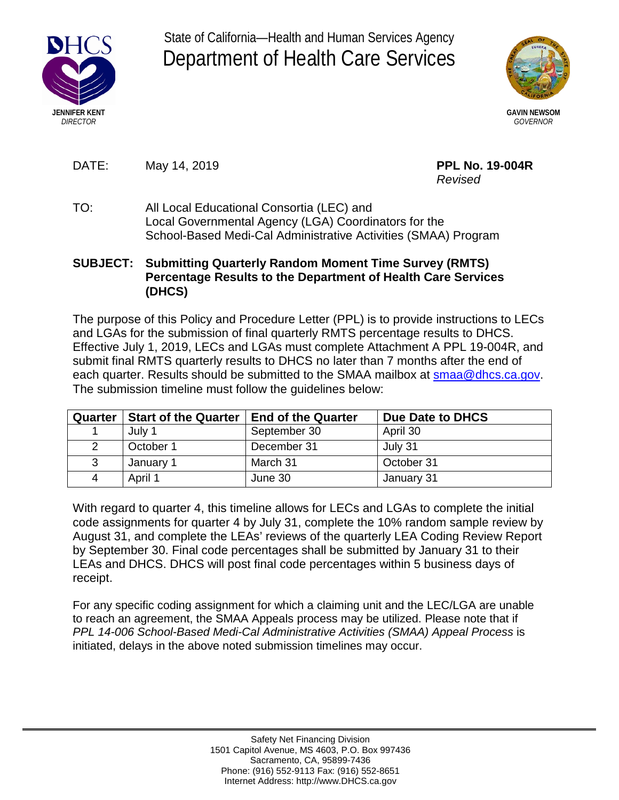

State of California—Health and Human Services Agency Department of Health Care Services



DATE: May 14, 2019 **PPL No. 19-004R** 

*Revised* 

TO: All Local Educational Consortia (LEC) and Local Governmental Agency (LGA) Coordinators for the School-Based Medi-Cal Administrative Activities (SMAA) Program

## **SUBJECT: Submitting Quarterly Random Moment Time Survey (RMTS) Percentage Results to the Department of Health Care Services (DHCS)**

The purpose of this Policy and Procedure Letter (PPL) is to provide instructions to LECs and LGAs for the submission of final quarterly RMTS percentage results to DHCS. Effective July 1, 2019, LECs and LGAs must complete Attachment A PPL 19-004R, and submit final RMTS quarterly results to DHCS no later than 7 months after the end of each quarter. Results should be submitted to the SMAA mailbox at smaa@dhcs.ca.gov. The submission timeline must follow the guidelines below:

| Quarter | <b>Start of the Quarter</b> | <b>End of the Quarter</b> | Due Date to DHCS |
|---------|-----------------------------|---------------------------|------------------|
|         | July 1                      | September 30              | April 30         |
|         | October 1                   | December 31               | July 31          |
| 3       | January 1                   | March 31                  | October 31       |
| 4       | April 1                     | June 30                   | January 31       |

With regard to quarter 4, this timeline allows for LECs and LGAs to complete the initial code assignments for quarter 4 by July 31, complete the 10% random sample review by August 31, and complete the LEAs' reviews of the quarterly LEA Coding Review Report by September 30. Final code percentages shall be submitted by January 31 to their LEAs and DHCS. DHCS will post final code percentages within 5 business days of receipt.

For any specific coding assignment for which a claiming unit and the LEC/LGA are unable to reach an agreement, the SMAA Appeals process may be utilized. Please note that if *PPL 14-006 School-Based Medi-Cal Administrative Activities (SMAA) Appeal Process* is initiated, delays in the above noted submission timelines may occur.